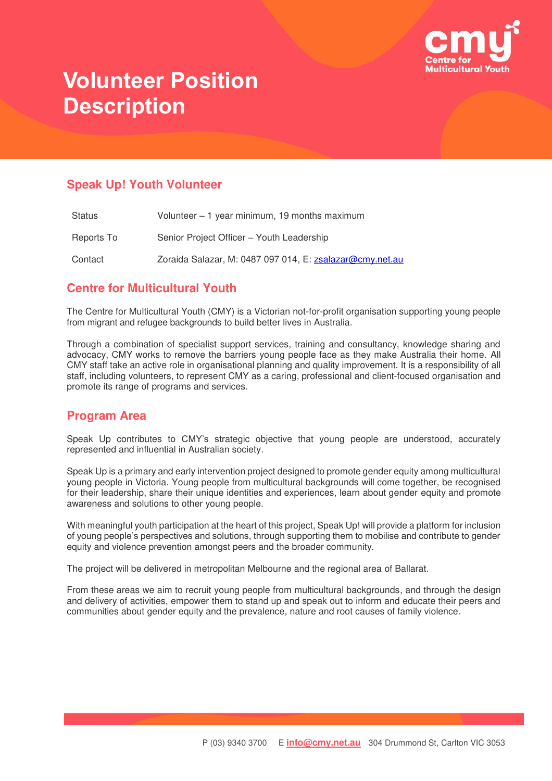

## **Speak Up! Youth Volunteer**

| Status     | Volunteer - 1 year minimum, 19 months maximum            |
|------------|----------------------------------------------------------|
| Reports To | Senior Project Officer - Youth Leadership                |
| Contact    | Zoraida Salazar, M: 0487 097 014, E: zsalazar@cmy.net.au |

### **Centre for Multicultural Youth**

The Centre for Multicultural Youth (CMY) is a Victorian not-for-profit organisation supporting young people from migrant and refugee backgrounds to build better lives in Australia.

Through a combination of specialist support services, training and consultancy, knowledge sharing and advocacy, CMY works to remove the barriers young people face as they make Australia their home. All CMY staff take an active role in organisational planning and quality improvement. It is a responsibility of all staff, including volunteers, to represent CMY as a caring, professional and client-focused organisation and promote its range of programs and services.

#### **Program Area**

Speak Up contributes to CMY's strategic objective that young people are understood, accurately represented and influential in Australian society.

Speak Up is a primary and early intervention project designed to promote gender equity among multicultural young people in Victoria. Young people from multicultural backgrounds will come together, be recognised for their leadership, share their unique identities and experiences, learn about gender equity and promote awareness and solutions to other young people.

With meaningful youth participation at the heart of this project, Speak Up! will provide a platform for inclusion of young people's perspectives and solutions, through supporting them to mobilise and contribute to gender equity and violence prevention amongst peers and the broader community.

The project will be delivered in metropolitan Melbourne and the regional area of Ballarat.

From these areas we aim to recruit young people from multicultural backgrounds, and through the design and delivery of activities, empower them to stand up and speak out to inform and educate their peers and communities about gender equity and the prevalence, nature and root causes of family violence.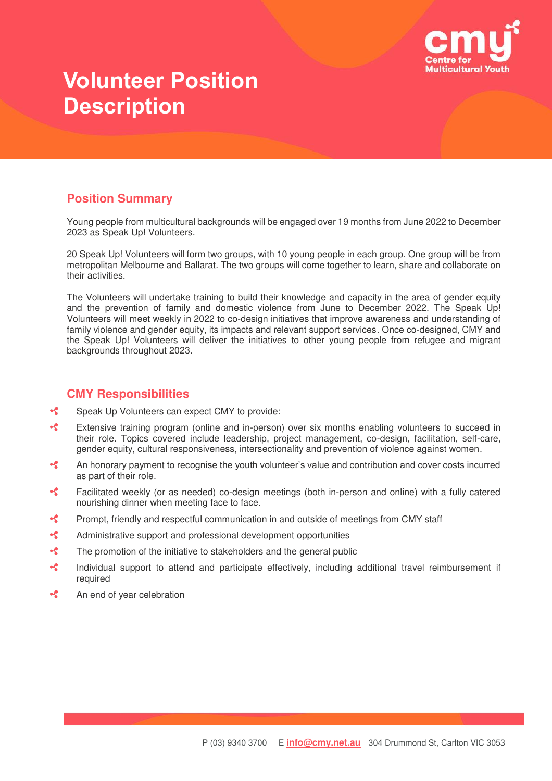

## **Position Summary**

Young people from multicultural backgrounds will be engaged over 19 months from June 2022 to December 2023 as Speak Up! Volunteers.

20 Speak Up! Volunteers will form two groups, with 10 young people in each group. One group will be from metropolitan Melbourne and Ballarat. The two groups will come together to learn, share and collaborate on their activities.

The Volunteers will undertake training to build their knowledge and capacity in the area of gender equity and the prevention of family and domestic violence from June to December 2022. The Speak Up! Volunteers will meet weekly in 2022 to co-design initiatives that improve awareness and understanding of family violence and gender equity, its impacts and relevant support services. Once co-designed, CMY and the Speak Up! Volunteers will deliver the initiatives to other young people from refugee and migrant backgrounds throughout 2023.

### **CMY Responsibilities**

- Speak Up Volunteers can expect CMY to provide:
- **Extensive training program (online and in-person) over six months enabling volunteers to succeed in** their role. Topics covered include leadership, project management, co-design, facilitation, self-care, gender equity, cultural responsiveness, intersectionality and prevention of violence against women.
- An honorary payment to recognise the youth volunteer's value and contribution and cover costs incurred as part of their role.
- Facilitated weekly (or as needed) co-design meetings (both in-person and online) with a fully catered nourishing dinner when meeting face to face.
- Ŀ Prompt, friendly and respectful communication in and outside of meetings from CMY staff
- Administrative support and professional development opportunities
- $\cdot$  The promotion of the initiative to stakeholders and the general public
- **Individual support to attend and participate effectively, including additional travel reimbursement if** required
- **An end of year celebration**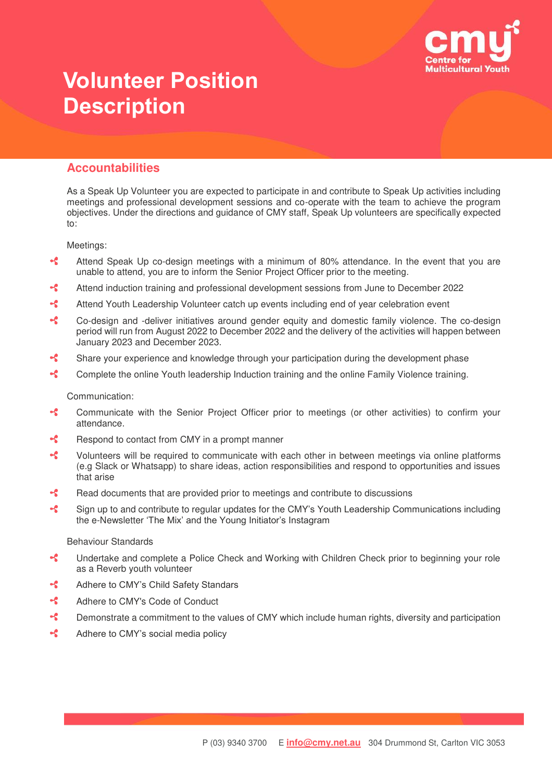

#### **Accountabilities**

As a Speak Up Volunteer you are expected to participate in and contribute to Speak Up activities including meetings and professional development sessions and co-operate with the team to achieve the program objectives. Under the directions and guidance of CMY staff, Speak Up volunteers are specifically expected to:

Meetings:

- **Attend Speak Up co-design meetings with a minimum of 80% attendance. In the event that you are** unable to attend, you are to inform the Senior Project Officer prior to the meeting.
- Attend induction training and professional development sessions from June to December 2022
- **Attend Youth Leadership Volunteer catch up events including end of year celebration event**
- $\overline{\mathbf{f}}$ Co-design and -deliver initiatives around gender equity and domestic family violence. The co-design period will run from August 2022 to December 2022 and the delivery of the activities will happen between January 2023 and December 2023.
- Share your experience and knowledge through your participation during the development phase
- **Complete the online Youth leadership Induction training and the online Family Violence training.**

Communication:

- Communicate with the Senior Project Officer prior to meetings (or other activities) to confirm your attendance.
- Respond to contact from CMY in a prompt manner
- Volunteers will be required to communicate with each other in between meetings via online platforms (e.g Slack or Whatsapp) to share ideas, action responsibilities and respond to opportunities and issues that arise
- Read documents that are provided prior to meetings and contribute to discussions
- Sign up to and contribute to regular updates for the CMY's Youth Leadership Communications including the e-Newsletter 'The Mix' and the Young Initiator's Instagram

#### Behaviour Standards

- Undertake and complete a Police Check and Working with Children Check prior to beginning your role as a Reverb youth volunteer
- $\overline{\mathbf{f}}$ Adhere to CMY's Child Safety Standars
- Adhere to CMY's Code of Conduct
- **Communistrate a commitment to the values of CMY which include human rights, diversity and participation**
- $\overline{\mathbf{f}}$ Adhere to CMY's social media policy